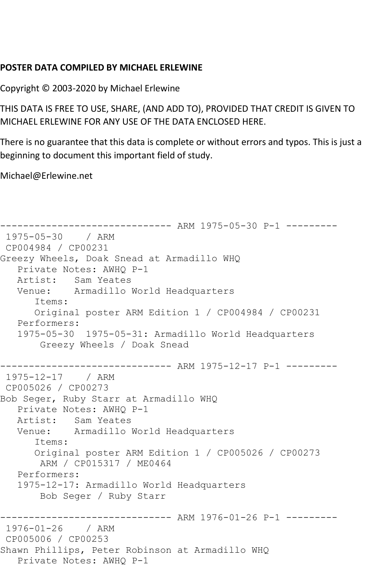## **POSTER DATA COMPILED BY MICHAEL ERLEWINE**

Copyright © 2003-2020 by Michael Erlewine

THIS DATA IS FREE TO USE, SHARE, (AND ADD TO), PROVIDED THAT CREDIT IS GIVEN TO MICHAEL ERLEWINE FOR ANY USE OF THE DATA ENCLOSED HERE.

There is no guarantee that this data is complete or without errors and typos. This is just a beginning to document this important field of study.

Michael@Erlewine.net

```
------------------------------ ARM 1975-05-30 P-1 ---------
1975-05-30 / ARM 
CP004984 / CP00231
Greezy Wheels, Doak Snead at Armadillo WHQ
   Private Notes: AWHQ P-1
   Artist: Sam Yeates
   Venue: Armadillo World Headquarters
      Items:
      Original poster ARM Edition 1 / CP004984 / CP00231
   Performers:
   1975-05-30 1975-05-31: Armadillo World Headquarters
       Greezy Wheels / Doak Snead
------------------------------ ARM 1975-12-17 P-1 ---------
1975-12-17 / ARM 
CP005026 / CP00273
Bob Seger, Ruby Starr at Armadillo WHQ
   Private Notes: AWHQ P-1
   Artist: Sam Yeates
   Venue: Armadillo World Headquarters
      Items:
      Original poster ARM Edition 1 / CP005026 / CP00273
       ARM / CP015317 / ME0464
   Performers:
   1975-12-17: Armadillo World Headquarters
       Bob Seger / Ruby Starr
------------------------------ ARM 1976-01-26 P-1 ---------
1976-01-26 / ARM 
CP005006 / CP00253
Shawn Phillips, Peter Robinson at Armadillo WHQ
   Private Notes: AWHQ P-1
```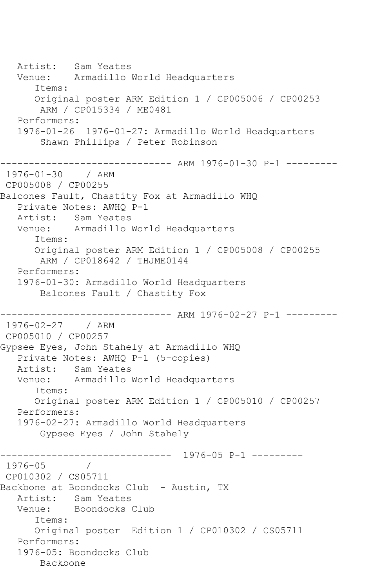Artist: Sam Yeates Venue: Armadillo World Headquarters Items: Original poster ARM Edition 1 / CP005006 / CP00253 ARM / CP015334 / ME0481 Performers: 1976-01-26 1976-01-27: Armadillo World Headquarters Shawn Phillips / Peter Robinson ------------------------------ ARM 1976-01-30 P-1 --------- 1976-01-30 / ARM CP005008 / CP00255 Balcones Fault, Chastity Fox at Armadillo WHQ Private Notes: AWHQ P-1 Artist: Sam Yeates Venue: Armadillo World Headquarters Items: Original poster ARM Edition 1 / CP005008 / CP00255 ARM / CP018642 / THJME0144 Performers: 1976-01-30: Armadillo World Headquarters Balcones Fault / Chastity Fox ------------------------------ ARM 1976-02-27 P-1 --------- 1976-02-27 / ARM CP005010 / CP00257 Gypsee Eyes, John Stahely at Armadillo WHQ Private Notes: AWHQ P-1 (5-copies) Artist: Sam Yeates Venue: Armadillo World Headquarters Items: Original poster ARM Edition 1 / CP005010 / CP00257 Performers: 1976-02-27: Armadillo World Headquarters Gypsee Eyes / John Stahely ------------------------------ 1976-05 P-1 --------- 1976-05 / CP010302 / CS05711 Backbone at Boondocks Club - Austin, TX Artist: Sam Yeates Venue: Boondocks Club Items: Original poster Edition 1 / CP010302 / CS05711 Performers: 1976-05: Boondocks Club Backbone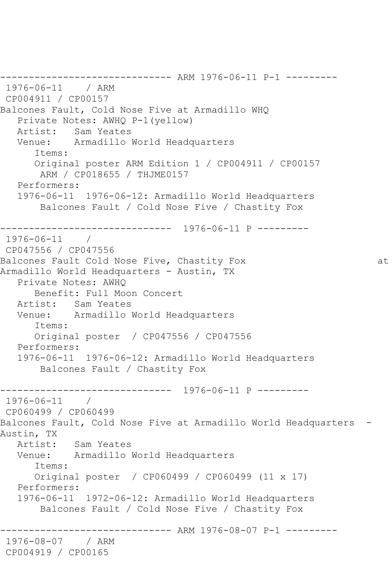------------------------------ ARM 1976-06-11 P-1 --------- 1976-06-11 / ARM CP004911 / CP00157 Balcones Fault, Cold Nose Five at Armadillo WHQ Private Notes: AWHQ P-1(yellow) Artist: Sam Yeates Venue: Armadillo World Headquarters Items: Original poster ARM Edition 1 / CP004911 / CP00157 ARM / CP018655 / THJME0157 Performers: 1976-06-11 1976-06-12: Armadillo World Headquarters Balcones Fault / Cold Nose Five / Chastity Fox ------------------------------ 1976-06-11 P --------- 1976-06-11 / CP047556 / CP047556 Balcones Fault Cold Nose Five, Chastity Fox and the control of the late Armadillo World Headquarters - Austin, TX Private Notes: AWHQ Benefit: Full Moon Concert Artist: Sam Yeates Venue: Armadillo World Headquarters Items: Original poster / CP047556 / CP047556 Performers: 1976-06-11 1976-06-12: Armadillo World Headquarters Balcones Fault / Chastity Fox ------------------------------ 1976-06-11 P --------- 1976-06-11 / CP060499 / CP060499 Balcones Fault, Cold Nose Five at Armadillo World Headquarters - Austin, TX Artist: Sam Yeates Venue: Armadillo World Headquarters Items: Original poster / CP060499 / CP060499 (11 x 17) Performers: 1976-06-11 1972-06-12: Armadillo World Headquarters Balcones Fault / Cold Nose Five / Chastity Fox ------------------------------ ARM 1976-08-07 P-1 --------- 1976-08-07 / ARM CP004919 / CP00165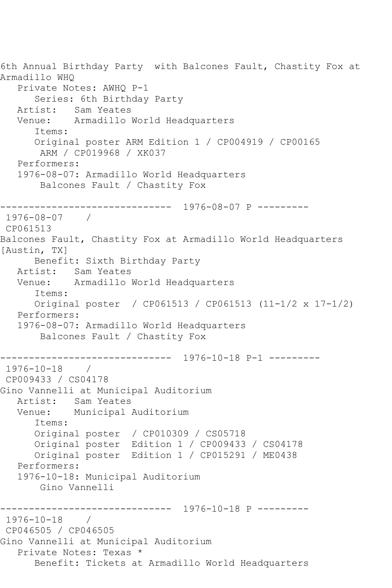```
6th Annual Birthday Party with Balcones Fault, Chastity Fox at 
Armadillo WHQ
   Private Notes: AWHQ P-1
       Series: 6th Birthday Party
   Artist: Sam Yeates
   Venue: Armadillo World Headquarters
       Items:
       Original poster ARM Edition 1 / CP004919 / CP00165
        ARM / CP019968 / XK037
   Performers:
   1976-08-07: Armadillo World Headquarters
        Balcones Fault / Chastity Fox
------------------------------ 1976-08-07 P ---------
1976-08-07 / 
CP061513
Balcones Fault, Chastity Fox at Armadillo World Headquarters 
[Austin, TX]
      Benefit: Sixth Birthday Party
   Artist: Sam Yeates
   Venue: Armadillo World Headquarters
       Items:
      Original poster / CP061513 / CP061513 (11-1/2 x 17-1/2)
   Performers:
   1976-08-07: Armadillo World Headquarters
        Balcones Fault / Chastity Fox
          ------------------------------ 1976-10-18 P-1 ---------
1976-10-18 / 
CP009433 / CS04178
Gino Vannelli at Municipal Auditorium
   Artist: Sam Yeates
   Venue: Municipal Auditorium
       Items:
      Original poster / CP010309 / CS05718
      Original poster Edition 1 / CP009433 / CS04178
      Original poster Edition 1 / CP015291 / ME0438
   Performers:
   1976-10-18: Municipal Auditorium
        Gino Vannelli
------------------------------ 1976-10-18 P ---------
1976-10-18 / 
CP046505 / CP046505
Gino Vannelli at Municipal Auditorium
   Private Notes: Texas *
      Benefit: Tickets at Armadillo World Headquarters
```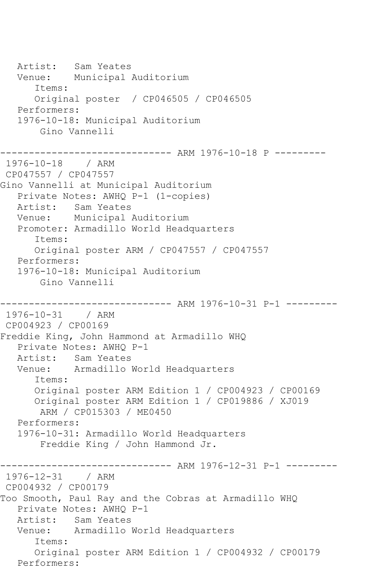Artist: Sam Yeates Venue: Municipal Auditorium Items: Original poster / CP046505 / CP046505 Performers: 1976-10-18: Municipal Auditorium Gino Vannelli ------------------------------ ARM 1976-10-18 P --------- 1976-10-18 / ARM CP047557 / CP047557 Gino Vannelli at Municipal Auditorium Private Notes: AWHQ P-1 (1-copies) Artist: Sam Yeates Venue: Municipal Auditorium Promoter: Armadillo World Headquarters Items: Original poster ARM / CP047557 / CP047557 Performers: 1976-10-18: Municipal Auditorium Gino Vannelli ------------------------------ ARM 1976-10-31 P-1 --------- 1976-10-31 / ARM CP004923 / CP00169 Freddie King, John Hammond at Armadillo WHQ Private Notes: AWHQ P-1 Artist: Sam Yeates Venue: Armadillo World Headquarters Items: Original poster ARM Edition 1 / CP004923 / CP00169 Original poster ARM Edition 1 / CP019886 / XJ019 ARM / CP015303 / ME0450 Performers: 1976-10-31: Armadillo World Headquarters Freddie King / John Hammond Jr. ---------- ARM 1976-12-31 P-1 ---------1976-12-31 / ARM CP004932 / CP00179 Too Smooth, Paul Ray and the Cobras at Armadillo WHQ Private Notes: AWHQ P-1<br>Artist: Sam Yeates Sam Yeates Venue: Armadillo World Headquarters Items: Original poster ARM Edition 1 / CP004932 / CP00179 Performers: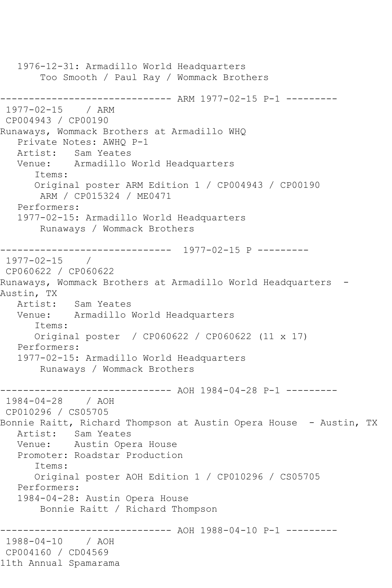1976-12-31: Armadillo World Headquarters Too Smooth / Paul Ray / Wommack Brothers ------------------------------ ARM 1977-02-15 P-1 --------- 1977-02-15 / ARM CP004943 / CP00190 Runaways, Wommack Brothers at Armadillo WHQ Private Notes: AWHQ P-1 Artist: Sam Yeates Venue: Armadillo World Headquarters Items: Original poster ARM Edition 1 / CP004943 / CP00190 ARM / CP015324 / ME0471 Performers: 1977-02-15: Armadillo World Headquarters Runaways / Wommack Brothers ------------------------------ 1977-02-15 P --------- 1977-02-15 / CP060622 / CP060622 Runaways, Wommack Brothers at Armadillo World Headquarters - Austin, TX Artist: Sam Yeates Venue: Armadillo World Headquarters Items: Original poster / CP060622 / CP060622 (11 x 17) Performers: 1977-02-15: Armadillo World Headquarters Runaways / Wommack Brothers ----------- AOH 1984-04-28 P-1 ---------1984-04-28 / AOH CP010296 / CS05705 Bonnie Raitt, Richard Thompson at Austin Opera House - Austin, TX Artist: Sam Yeates Venue: Austin Opera House Promoter: Roadstar Production Items: Original poster AOH Edition 1 / CP010296 / CS05705 Performers: 1984-04-28: Austin Opera House Bonnie Raitt / Richard Thompson ------------------------------ AOH 1988-04-10 P-1 --------- 1988-04-10 / AOH CP004160 / CD04569 11th Annual Spamarama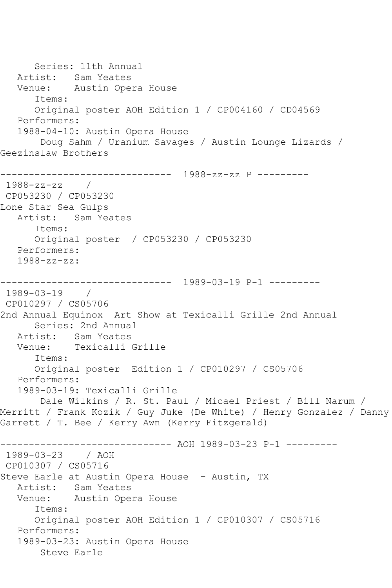Series: 11th Annual Artist: Sam Yeates Venue: Austin Opera House Items: Original poster AOH Edition 1 / CP004160 / CD04569 Performers: 1988-04-10: Austin Opera House Doug Sahm / Uranium Savages / Austin Lounge Lizards / Geezinslaw Brothers ------------------------------ 1988-zz-zz P --------- 1988-zz-zz / CP053230 / CP053230 Lone Star Sea Gulps Artist: Sam Yeates Items: Original poster / CP053230 / CP053230 Performers: 1988-zz-zz: ------------------------------ 1989-03-19 P-1 --------- 1989-03-19 / CP010297 / CS05706 2nd Annual Equinox Art Show at Texicalli Grille 2nd Annual Series: 2nd Annual Artist: Sam Yeates Venue: Texicalli Grille Items: Original poster Edition 1 / CP010297 / CS05706 Performers: 1989-03-19: Texicalli Grille Dale Wilkins / R. St. Paul / Micael Priest / Bill Narum / Merritt / Frank Kozik / Guy Juke (De White) / Henry Gonzalez / Danny Garrett / T. Bee / Kerry Awn (Kerry Fitzgerald) ------------------------------ AOH 1989-03-23 P-1 --------- 1989-03-23 / AOH CP010307 / CS05716 Steve Earle at Austin Opera House - Austin, TX Artist: Sam Yeates Venue: Austin Opera House Items: Original poster AOH Edition 1 / CP010307 / CS05716 Performers: 1989-03-23: Austin Opera House Steve Earle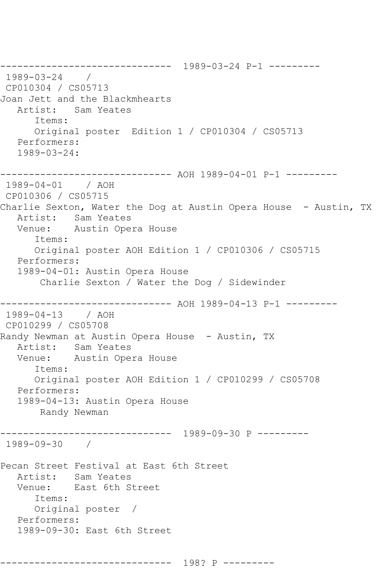------------------------------ 1989-03-24 P-1 --------- 1989-03-24 / CP010304 / CS05713 Joan Jett and the Blackmhearts Artist: Sam Yeates Items: Original poster Edition 1 / CP010304 / CS05713 Performers: 1989-03-24: ------------------------------ AOH 1989-04-01 P-1 --------- 1989-04-01 / AOH CP010306 / CS05715 Charlie Sexton, Water the Dog at Austin Opera House - Austin, TX Artist: Sam Yeates Venue: Austin Opera House Items: Original poster AOH Edition 1 / CP010306 / CS05715 Performers: 1989-04-01: Austin Opera House Charlie Sexton / Water the Dog / Sidewinder ------------------------------ AOH 1989-04-13 P-1 --------- 1989-04-13 / AOH CP010299 / CS05708 Randy Newman at Austin Opera House - Austin, TX Artist: Sam Yeates Venue: Austin Opera House Items: Original poster AOH Edition 1 / CP010299 / CS05708 Performers: 1989-04-13: Austin Opera House Randy Newman ------------------------------ 1989-09-30 P --------- 1989-09-30 / Pecan Street Festival at East 6th Street Artist: Sam Yeates<br>Venue: East 6th S East 6th Street Items: Original poster / Performers: 1989-09-30: East 6th Street ------------------------------ 198? P ---------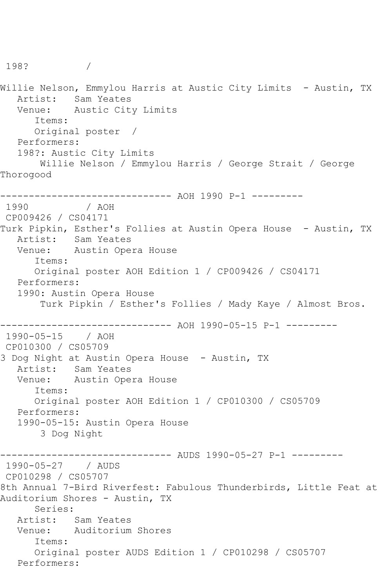198? / Willie Nelson, Emmylou Harris at Austic City Limits - Austin, TX Artist: Sam Yeates<br>Venue: Austic Cit Austic City Limits Items: Original poster / Performers: 198?: Austic City Limits Willie Nelson / Emmylou Harris / George Strait / George Thorogood ------------------------------ AOH 1990 P-1 --------- 1990 / AOH CP009426 / CS04171 Turk Pipkin, Esther's Follies at Austin Opera House - Austin, TX Artist: Sam Yeates Venue: Austin Opera House Items: Original poster AOH Edition 1 / CP009426 / CS04171 Performers: 1990: Austin Opera House Turk Pipkin / Esther's Follies / Mady Kaye / Almost Bros. ------------------------------ AOH 1990-05-15 P-1 --------- 1990-05-15 / AOH CP010300 / CS05709 3 Dog Night at Austin Opera House - Austin, TX Artist: Sam Yeates Venue: Austin Opera House Items: Original poster AOH Edition 1 / CP010300 / CS05709 Performers: 1990-05-15: Austin Opera House 3 Dog Night ------------------------------ AUDS 1990-05-27 P-1 --------- 1990-05-27 / AUDS CP010298 / CS05707 8th Annual 7-Bird Riverfest: Fabulous Thunderbirds, Little Feat at Auditorium Shores - Austin, TX Series: Artist: Sam Yeates Venue: Auditorium Shores Items: Original poster AUDS Edition 1 / CP010298 / CS05707 Performers: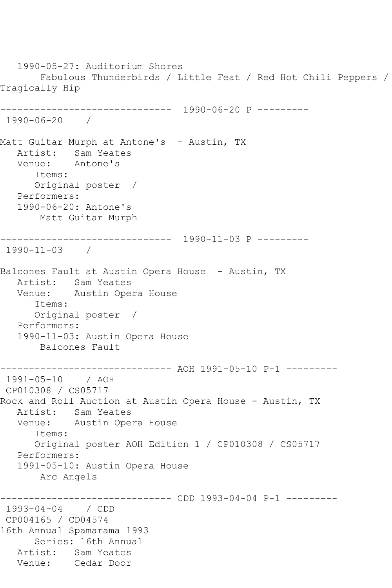1990-05-27: Auditorium Shores Fabulous Thunderbirds / Little Feat / Red Hot Chili Peppers / Tragically Hip ------------------------------ 1990-06-20 P --------- 1990-06-20 / Matt Guitar Murph at Antone's - Austin, TX Artist: Sam Yeates<br>Venue: Antone's Venue: Items: Original poster / Performers: 1990-06-20: Antone's Matt Guitar Murph ------------------------------ 1990-11-03 P --------- 1990-11-03 / Balcones Fault at Austin Opera House - Austin, TX Artist: Sam Yeates Venue: Austin Opera House Items: Original poster / Performers: 1990-11-03: Austin Opera House Balcones Fault ------------------------------ AOH 1991-05-10 P-1 --------- 1991-05-10 / AOH CP010308 / CS05717 Rock and Roll Auction at Austin Opera House - Austin, TX Artist: Sam Yeates<br>Venue: Austin Ope Austin Opera House Items: Original poster AOH Edition 1 / CP010308 / CS05717 Performers: 1991-05-10: Austin Opera House Arc Angels ------------------------------ CDD 1993-04-04 P-1 --------- 1993-04-04 / CDD CP004165 / CD04574 16th Annual Spamarama 1993 Series: 16th Annual Artist: Sam Yeates Venue: Cedar Door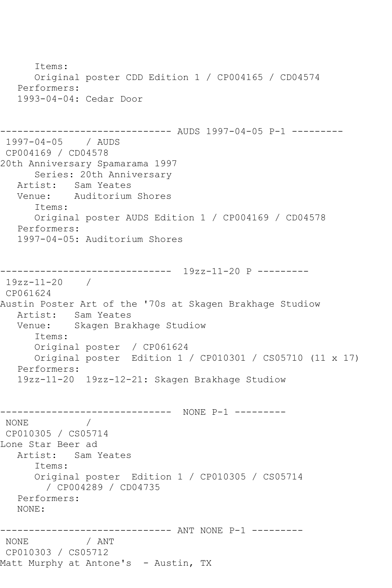Items: Original poster CDD Edition 1 / CP004165 / CD04574 Performers: 1993-04-04: Cedar Door ------------------------------ AUDS 1997-04-05 P-1 --------- 1997-04-05 / AUDS CP004169 / CD04578 20th Anniversary Spamarama 1997 Series: 20th Anniversary Artist: Sam Yeates<br>Venue: Auditorium Auditorium Shores Items: Original poster AUDS Edition 1 / CP004169 / CD04578 Performers: 1997-04-05: Auditorium Shores ------------------------------ 19zz-11-20 P --------- 19zz-11-20 / CP061624 Austin Poster Art of the '70s at Skagen Brakhage Studiow Artist: Sam Yeates Venue: Skagen Brakhage Studiow Items: Original poster / CP061624 Original poster Edition 1 / CP010301 / CS05710 (11 x 17) Performers: 19zz-11-20 19zz-12-21: Skagen Brakhage Studiow ------------------------------ NONE P-1 --------- NONE / CP010305 / CS05714 Lone Star Beer ad Artist: Sam Yeates Items: Original poster Edition 1 / CP010305 / CS05714 / CP004289 / CD04735 Performers: NONE: ------------------------------ ANT NONE P-1 --------- NONE / ANT CP010303 / CS05712 Matt Murphy at Antone's - Austin, TX